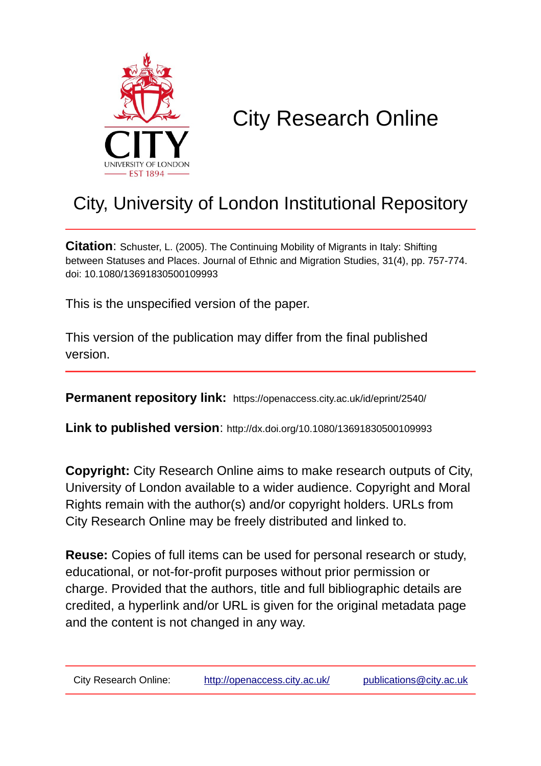

# City Research Online

## City, University of London Institutional Repository

**Citation**: Schuster, L. (2005). The Continuing Mobility of Migrants in Italy: Shifting between Statuses and Places. Journal of Ethnic and Migration Studies, 31(4), pp. 757-774. doi: 10.1080/13691830500109993

This is the unspecified version of the paper.

This version of the publication may differ from the final published version.

**Permanent repository link:** https://openaccess.city.ac.uk/id/eprint/2540/

**Link to published version**: http://dx.doi.org/10.1080/13691830500109993

**Copyright:** City Research Online aims to make research outputs of City, University of London available to a wider audience. Copyright and Moral Rights remain with the author(s) and/or copyright holders. URLs from City Research Online may be freely distributed and linked to.

**Reuse:** Copies of full items can be used for personal research or study, educational, or not-for-profit purposes without prior permission or charge. Provided that the authors, title and full bibliographic details are credited, a hyperlink and/or URL is given for the original metadata page and the content is not changed in any way.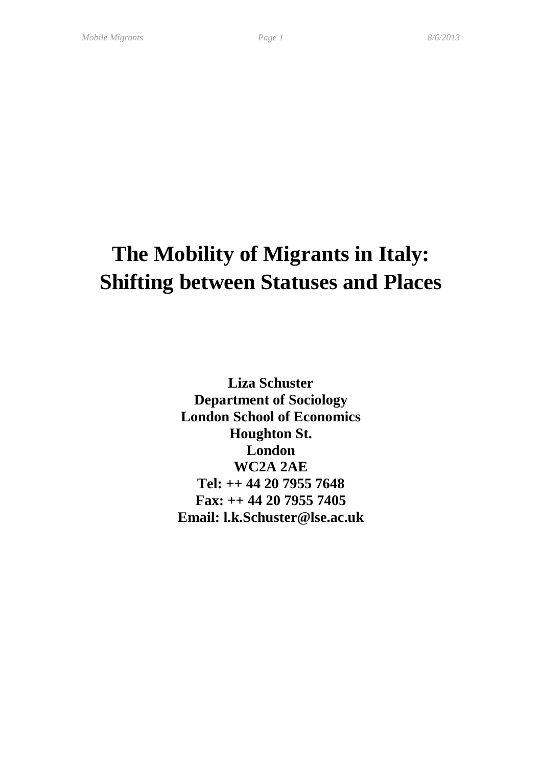## **The Mobility of Migrants in Italy: Shifting between Statuses and Places**

**Liza Schuster Department of Sociology London School of Economics Houghton St. London WC2A 2AE Tel: ++ 44 20 7955 7648 Fax: ++ 44 20 7955 7405 Email: l.k.Schuster@lse.ac.uk**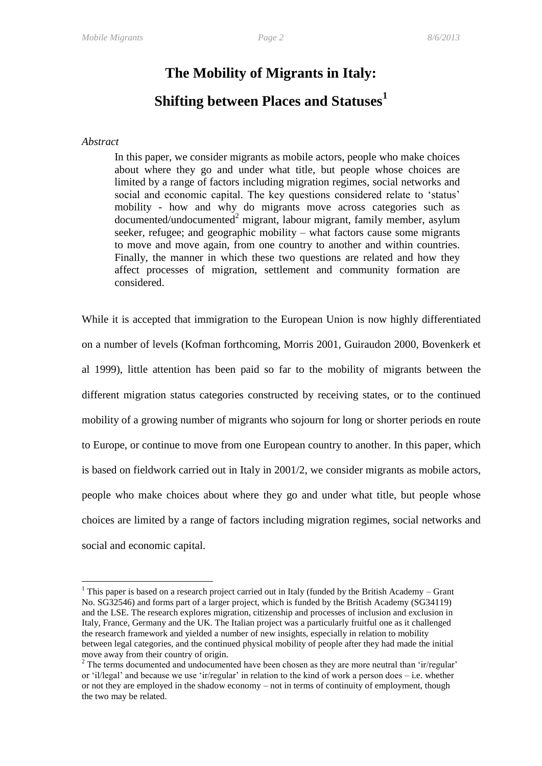### **The Mobility of Migrants in Italy:**

### **Shifting between Places and Statuses<sup>1</sup>**

#### *Abstract*

 $\overline{a}$ 

In this paper, we consider migrants as mobile actors, people who make choices about where they go and under what title, but people whose choices are limited by a range of factors including migration regimes, social networks and social and economic capital. The key questions considered relate to 'status' mobility - how and why do migrants move across categories such as  $documented/undocumented<sup>2</sup> migration, labour migration, family member, asylum$ seeker, refugee; and geographic mobility – what factors cause some migrants to move and move again, from one country to another and within countries. Finally, the manner in which these two questions are related and how they affect processes of migration, settlement and community formation are considered.

While it is accepted that immigration to the European Union is now highly differentiated on a number of levels (Kofman forthcoming, Morris 2001, Guiraudon 2000, Bovenkerk et al 1999), little attention has been paid so far to the mobility of migrants between the different migration status categories constructed by receiving states, or to the continued mobility of a growing number of migrants who sojourn for long or shorter periods en route to Europe, or continue to move from one European country to another. In this paper, which is based on fieldwork carried out in Italy in 2001/2, we consider migrants as mobile actors, people who make choices about where they go and under what title, but people whose choices are limited by a range of factors including migration regimes, social networks and social and economic capital.

 $1$  This paper is based on a research project carried out in Italy (funded by the British Academy – Grant No. SG32546) and forms part of a larger project, which is funded by the British Academy (SG34119) and the LSE. The research explores migration, citizenship and processes of inclusion and exclusion in Italy, France, Germany and the UK. The Italian project was a particularly fruitful one as it challenged the research framework and yielded a number of new insights, especially in relation to mobility between legal categories, and the continued physical mobility of people after they had made the initial move away from their country of origin.

<sup>&</sup>lt;sup>2</sup> The terms documented and undocumented have been chosen as they are more neutral than 'ir/regular' or 'il/legal' and because we use 'ir/regular' in relation to the kind of work a person does – i.e. whether or not they are employed in the shadow economy – not in terms of continuity of employment, though the two may be related.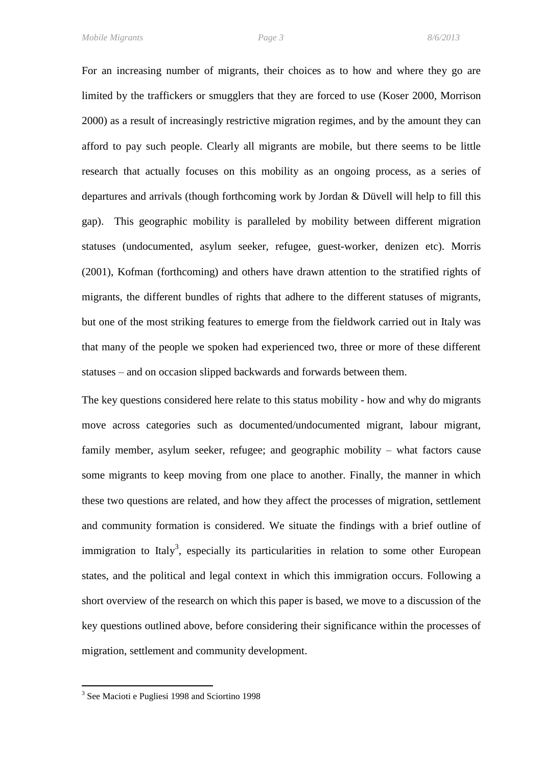*Mobile Migrants Page 3 8/6/2013*

For an increasing number of migrants, their choices as to how and where they go are limited by the traffickers or smugglers that they are forced to use (Koser 2000, Morrison 2000) as a result of increasingly restrictive migration regimes, and by the amount they can afford to pay such people. Clearly all migrants are mobile, but there seems to be little research that actually focuses on this mobility as an ongoing process, as a series of departures and arrivals (though forthcoming work by Jordan & Düvell will help to fill this gap). This geographic mobility is paralleled by mobility between different migration statuses (undocumented, asylum seeker, refugee, guest-worker, denizen etc). Morris (2001), Kofman (forthcoming) and others have drawn attention to the stratified rights of migrants, the different bundles of rights that adhere to the different statuses of migrants, but one of the most striking features to emerge from the fieldwork carried out in Italy was that many of the people we spoken had experienced two, three or more of these different statuses – and on occasion slipped backwards and forwards between them.

The key questions considered here relate to this status mobility - how and why do migrants move across categories such as documented/undocumented migrant, labour migrant, family member, asylum seeker, refugee; and geographic mobility – what factors cause some migrants to keep moving from one place to another. Finally, the manner in which these two questions are related, and how they affect the processes of migration, settlement and community formation is considered. We situate the findings with a brief outline of immigration to Italy<sup>3</sup>, especially its particularities in relation to some other European states, and the political and legal context in which this immigration occurs. Following a short overview of the research on which this paper is based, we move to a discussion of the key questions outlined above, before considering their significance within the processes of migration, settlement and community development.

 $\overline{a}$ 

<sup>&</sup>lt;sup>3</sup> See Macioti e Pugliesi 1998 and Sciortino 1998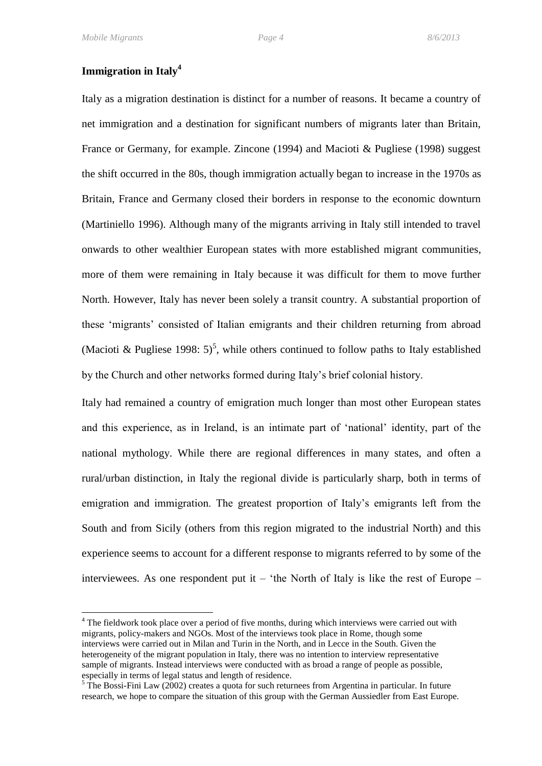$\overline{a}$ 

#### **Immigration in Italy<sup>4</sup>**

Italy as a migration destination is distinct for a number of reasons. It became a country of net immigration and a destination for significant numbers of migrants later than Britain, France or Germany, for example. Zincone (1994) and Macioti & Pugliese (1998) suggest the shift occurred in the 80s, though immigration actually began to increase in the 1970s as Britain, France and Germany closed their borders in response to the economic downturn (Martiniello 1996). Although many of the migrants arriving in Italy still intended to travel onwards to other wealthier European states with more established migrant communities, more of them were remaining in Italy because it was difficult for them to move further North. However, Italy has never been solely a transit country. A substantial proportion of these 'migrants' consisted of Italian emigrants and their children returning from abroad (Macioti & Pugliese 1998:  $5^5$ , while others continued to follow paths to Italy established by the Church and other networks formed during Italy's brief colonial history.

Italy had remained a country of emigration much longer than most other European states and this experience, as in Ireland, is an intimate part of 'national' identity, part of the national mythology. While there are regional differences in many states, and often a rural/urban distinction, in Italy the regional divide is particularly sharp, both in terms of emigration and immigration. The greatest proportion of Italy's emigrants left from the South and from Sicily (others from this region migrated to the industrial North) and this experience seems to account for a different response to migrants referred to by some of the interviewees. As one respondent put it – 'the North of Italy is like the rest of Europe –

<sup>&</sup>lt;sup>4</sup> The fieldwork took place over a period of five months, during which interviews were carried out with migrants, policy-makers and NGOs. Most of the interviews took place in Rome, though some interviews were carried out in Milan and Turin in the North, and in Lecce in the South. Given the heterogeneity of the migrant population in Italy, there was no intention to interview representative sample of migrants. Instead interviews were conducted with as broad a range of people as possible, especially in terms of legal status and length of residence.

 $5$  The Bossi-Fini Law (2002) creates a quota for such returnees from Argentina in particular. In future research, we hope to compare the situation of this group with the German Aussiedler from East Europe.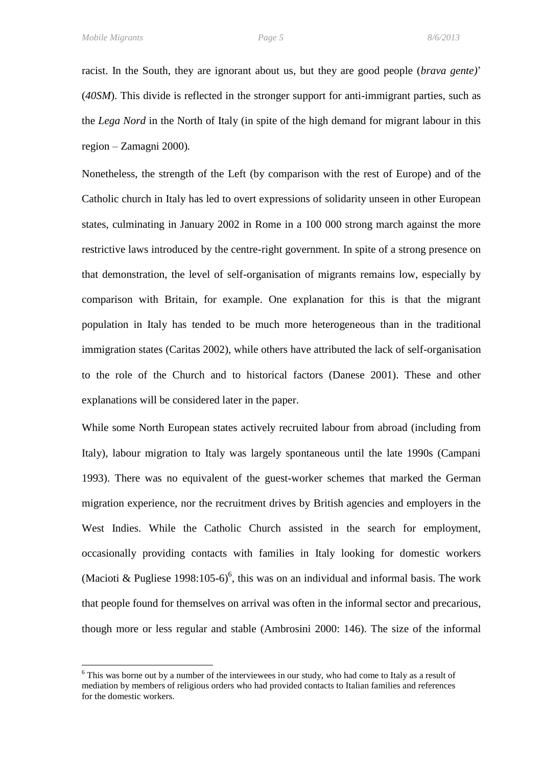*Mobile Migrants Page 5 8/6/2013*

 $\overline{a}$ 

racist. In the South, they are ignorant about us, but they are good people (*brava gente)*' (*40SM*). This divide is reflected in the stronger support for anti-immigrant parties, such as the *Lega Nord* in the North of Italy (in spite of the high demand for migrant labour in this region – Zamagni 2000)*.* 

Nonetheless, the strength of the Left (by comparison with the rest of Europe) and of the Catholic church in Italy has led to overt expressions of solidarity unseen in other European states, culminating in January 2002 in Rome in a 100 000 strong march against the more restrictive laws introduced by the centre-right government. In spite of a strong presence on that demonstration, the level of self-organisation of migrants remains low, especially by comparison with Britain, for example. One explanation for this is that the migrant population in Italy has tended to be much more heterogeneous than in the traditional immigration states (Caritas 2002), while others have attributed the lack of self-organisation to the role of the Church and to historical factors (Danese 2001). These and other explanations will be considered later in the paper.

While some North European states actively recruited labour from abroad (including from Italy), labour migration to Italy was largely spontaneous until the late 1990s (Campani 1993). There was no equivalent of the guest-worker schemes that marked the German migration experience, nor the recruitment drives by British agencies and employers in the West Indies. While the Catholic Church assisted in the search for employment, occasionally providing contacts with families in Italy looking for domestic workers (Macioti & Pugliese 1998:105-6)<sup>6</sup>, this was on an individual and informal basis. The work that people found for themselves on arrival was often in the informal sector and precarious, though more or less regular and stable (Ambrosini 2000: 146). The size of the informal

<sup>&</sup>lt;sup>6</sup> This was borne out by a number of the interviewees in our study, who had come to Italy as a result of mediation by members of religious orders who had provided contacts to Italian families and references for the domestic workers.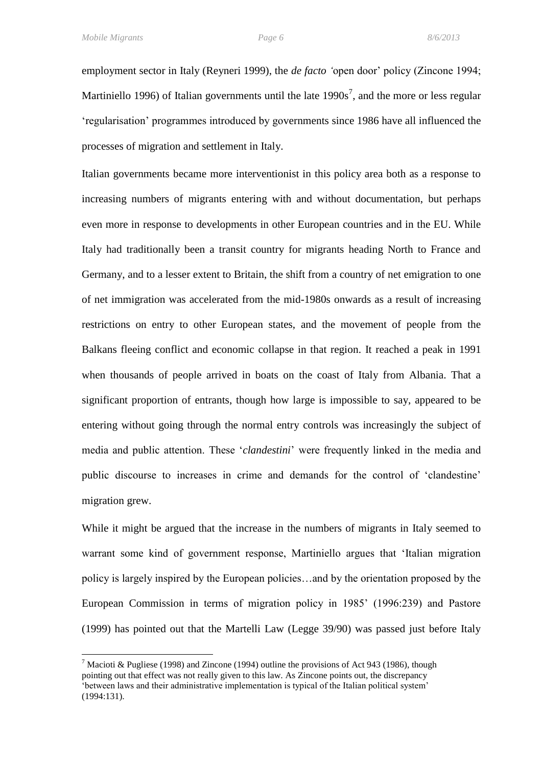*Mobile Migrants Page 6 8/6/2013*

 $\overline{a}$ 

employment sector in Italy (Reyneri 1999), the *de facto '*open door' policy (Zincone 1994; Martiniello 1996) of Italian governments until the late  $1990s^7$ , and the more or less regular 'regularisation' programmes introduced by governments since 1986 have all influenced the processes of migration and settlement in Italy.

Italian governments became more interventionist in this policy area both as a response to increasing numbers of migrants entering with and without documentation, but perhaps even more in response to developments in other European countries and in the EU. While Italy had traditionally been a transit country for migrants heading North to France and Germany, and to a lesser extent to Britain, the shift from a country of net emigration to one of net immigration was accelerated from the mid-1980s onwards as a result of increasing restrictions on entry to other European states, and the movement of people from the Balkans fleeing conflict and economic collapse in that region. It reached a peak in 1991 when thousands of people arrived in boats on the coast of Italy from Albania. That a significant proportion of entrants, though how large is impossible to say, appeared to be entering without going through the normal entry controls was increasingly the subject of media and public attention. These '*clandestini*' were frequently linked in the media and public discourse to increases in crime and demands for the control of 'clandestine' migration grew.

While it might be argued that the increase in the numbers of migrants in Italy seemed to warrant some kind of government response, Martiniello argues that 'Italian migration policy is largely inspired by the European policies…and by the orientation proposed by the European Commission in terms of migration policy in 1985' (1996:239) and Pastore (1999) has pointed out that the Martelli Law (Legge 39/90) was passed just before Italy

<sup>&</sup>lt;sup>7</sup> Macioti & Pugliese (1998) and Zincone (1994) outline the provisions of Act 943 (1986), though pointing out that effect was not really given to this law. As Zincone points out, the discrepancy 'between laws and their administrative implementation is typical of the Italian political system' (1994:131).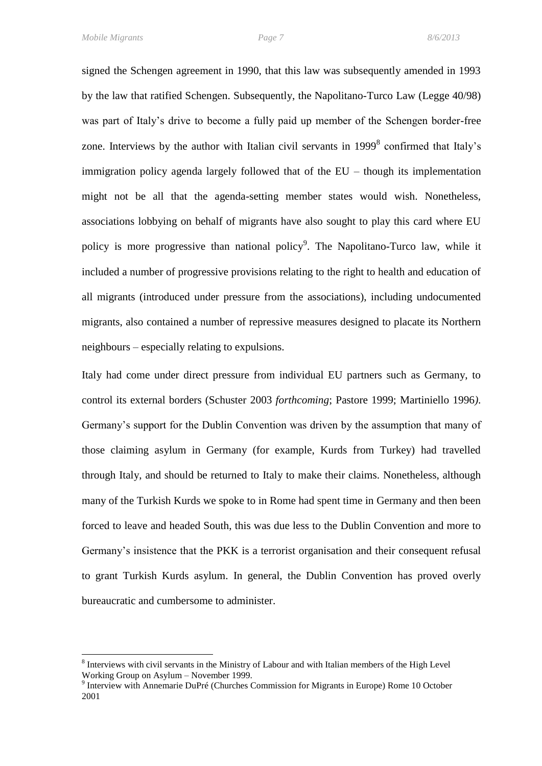*Mobile Migrants Page 7 8/6/2013*

 $\overline{a}$ 

signed the Schengen agreement in 1990, that this law was subsequently amended in 1993 by the law that ratified Schengen. Subsequently, the Napolitano-Turco Law (Legge 40/98) was part of Italy's drive to become a fully paid up member of the Schengen border-free zone. Interviews by the author with Italian civil servants in  $1999<sup>8</sup>$  confirmed that Italy's immigration policy agenda largely followed that of the EU – though its implementation might not be all that the agenda-setting member states would wish. Nonetheless, associations lobbying on behalf of migrants have also sought to play this card where EU policy is more progressive than national policy<sup>9</sup>. The Napolitano-Turco law, while it included a number of progressive provisions relating to the right to health and education of all migrants (introduced under pressure from the associations), including undocumented migrants, also contained a number of repressive measures designed to placate its Northern neighbours – especially relating to expulsions.

Italy had come under direct pressure from individual EU partners such as Germany, to control its external borders (Schuster 2003 *forthcoming*; Pastore 1999; Martiniello 1996*)*. Germany's support for the Dublin Convention was driven by the assumption that many of those claiming asylum in Germany (for example, Kurds from Turkey) had travelled through Italy, and should be returned to Italy to make their claims. Nonetheless, although many of the Turkish Kurds we spoke to in Rome had spent time in Germany and then been forced to leave and headed South, this was due less to the Dublin Convention and more to Germany's insistence that the PKK is a terrorist organisation and their consequent refusal to grant Turkish Kurds asylum. In general, the Dublin Convention has proved overly bureaucratic and cumbersome to administer.

<sup>&</sup>lt;sup>8</sup> Interviews with civil servants in the Ministry of Labour and with Italian members of the High Level Working Group on Asylum – November 1999.

<sup>9</sup> Interview with Annemarie DuPré (Churches Commission for Migrants in Europe) Rome 10 October 2001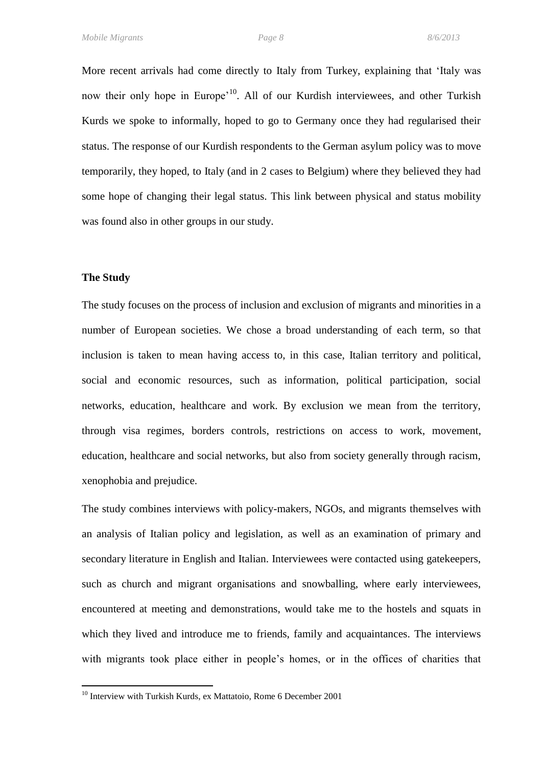More recent arrivals had come directly to Italy from Turkey, explaining that 'Italy was now their only hope in Europe<sup>'10</sup>. All of our Kurdish interviewees, and other Turkish Kurds we spoke to informally, hoped to go to Germany once they had regularised their status. The response of our Kurdish respondents to the German asylum policy was to move temporarily, they hoped, to Italy (and in 2 cases to Belgium) where they believed they had some hope of changing their legal status. This link between physical and status mobility was found also in other groups in our study.

#### **The Study**

 $\overline{a}$ 

The study focuses on the process of inclusion and exclusion of migrants and minorities in a number of European societies. We chose a broad understanding of each term, so that inclusion is taken to mean having access to, in this case, Italian territory and political, social and economic resources, such as information, political participation, social networks, education, healthcare and work. By exclusion we mean from the territory, through visa regimes, borders controls, restrictions on access to work, movement, education, healthcare and social networks, but also from society generally through racism, xenophobia and prejudice.

The study combines interviews with policy-makers, NGOs, and migrants themselves with an analysis of Italian policy and legislation, as well as an examination of primary and secondary literature in English and Italian. Interviewees were contacted using gatekeepers, such as church and migrant organisations and snowballing, where early interviewees, encountered at meeting and demonstrations, would take me to the hostels and squats in which they lived and introduce me to friends, family and acquaintances. The interviews with migrants took place either in people's homes, or in the offices of charities that

 $10$  Interview with Turkish Kurds, ex Mattatoio, Rome 6 December 2001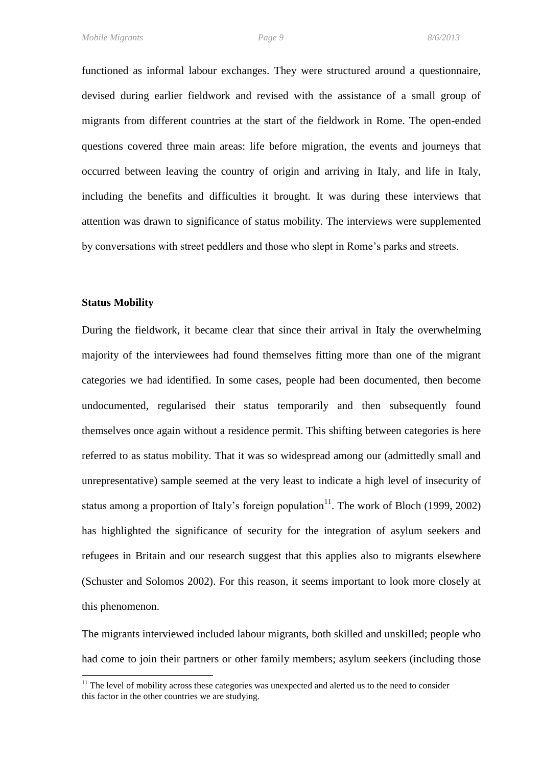functioned as informal labour exchanges. They were structured around a questionnaire, devised during earlier fieldwork and revised with the assistance of a small group of migrants from different countries at the start of the fieldwork in Rome. The open-ended questions covered three main areas: life before migration, the events and journeys that occurred between leaving the country of origin and arriving in Italy, and life in Italy, including the benefits and difficulties it brought. It was during these interviews that attention was drawn to significance of status mobility. The interviews were supplemented by conversations with street peddlers and those who slept in Rome's parks and streets.

#### **Status Mobility**

 $\overline{a}$ 

During the fieldwork, it became clear that since their arrival in Italy the overwhelming majority of the interviewees had found themselves fitting more than one of the migrant categories we had identified. In some cases, people had been documented, then become undocumented, regularised their status temporarily and then subsequently found themselves once again without a residence permit. This shifting between categories is here referred to as status mobility. That it was so widespread among our (admittedly small and unrepresentative) sample seemed at the very least to indicate a high level of insecurity of status among a proportion of Italy's foreign population<sup>11</sup>. The work of Bloch (1999, 2002) has highlighted the significance of security for the integration of asylum seekers and refugees in Britain and our research suggest that this applies also to migrants elsewhere (Schuster and Solomos 2002). For this reason, it seems important to look more closely at this phenomenon.

The migrants interviewed included labour migrants, both skilled and unskilled; people who had come to join their partners or other family members; asylum seekers (including those

 $11$  The level of mobility across these categories was unexpected and alerted us to the need to consider this factor in the other countries we are studying.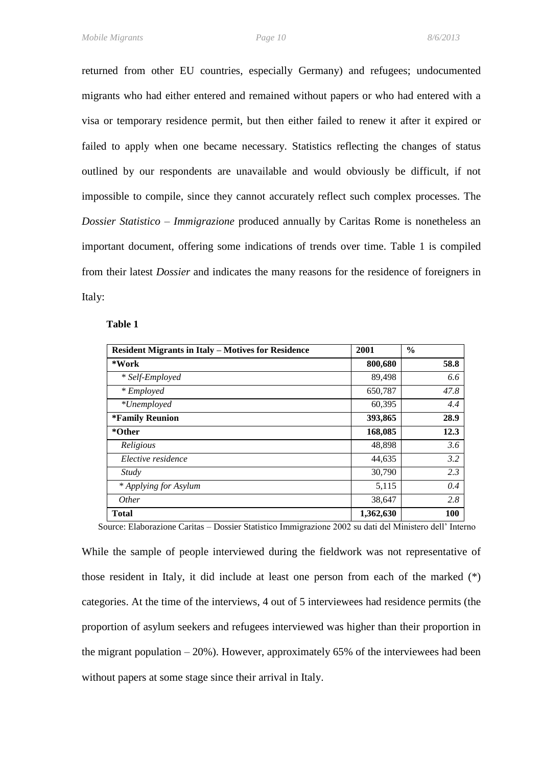returned from other EU countries, especially Germany) and refugees; undocumented migrants who had either entered and remained without papers or who had entered with a visa or temporary residence permit, but then either failed to renew it after it expired or failed to apply when one became necessary. Statistics reflecting the changes of status outlined by our respondents are unavailable and would obviously be difficult, if not impossible to compile, since they cannot accurately reflect such complex processes. The *Dossier Statistico – Immigrazione* produced annually by Caritas Rome is nonetheless an important document, offering some indications of trends over time. Table 1 is compiled from their latest *Dossier* and indicates the many reasons for the residence of foreigners in Italy:

#### **Table 1**

| <b>Resident Migrants in Italy – Motives for Residence</b> | 2001      | $\frac{6}{9}$ |
|-----------------------------------------------------------|-----------|---------------|
| *Work                                                     | 800,680   | 58.8          |
| * Self-Employed                                           | 89,498    | 6.6           |
| <i>* Employed</i>                                         | 650,787   | 47.8          |
| <i>*Unemployed</i>                                        | 60,395    | 4.4           |
| <i><b>*Family Reunion</b></i>                             | 393,865   | 28.9          |
| *Other                                                    | 168,085   | 12.3          |
| Religious                                                 | 48,898    | 3.6           |
| Elective residence                                        | 44,635    | 3.2           |
| Study                                                     | 30,790    | 2.3           |
| * Applying for Asylum                                     | 5,115     | 0.4           |
| <i>Other</i>                                              | 38,647    | 2.8           |
| <b>Total</b>                                              | 1,362,630 | 100           |

Source: Elaborazione Caritas – Dossier Statistico Immigrazione 2002 su dati del Ministero dell' Interno

While the sample of people interviewed during the fieldwork was not representative of those resident in Italy, it did include at least one person from each of the marked (\*) categories. At the time of the interviews, 4 out of 5 interviewees had residence permits (the proportion of asylum seekers and refugees interviewed was higher than their proportion in the migrant population  $-20\%$ ). However, approximately 65% of the interviewees had been without papers at some stage since their arrival in Italy.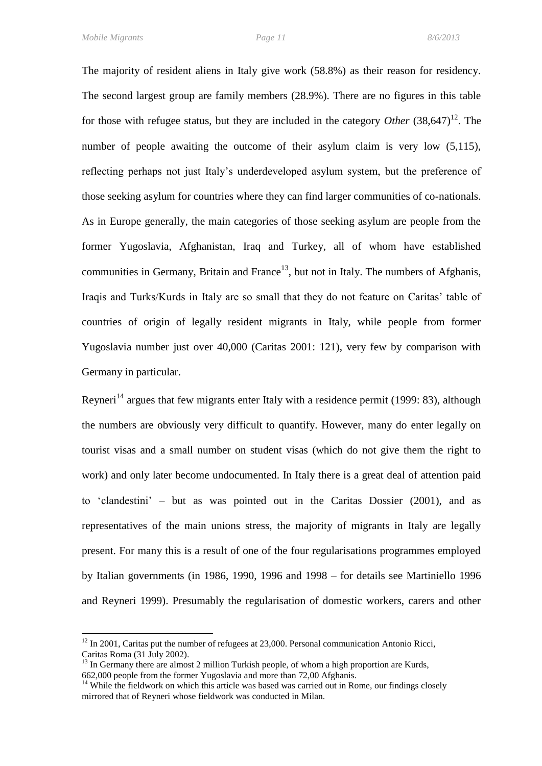*Mobile Migrants Page 11 8/6/2013*

 $\overline{a}$ 

The majority of resident aliens in Italy give work (58.8%) as their reason for residency. The second largest group are family members (28.9%). There are no figures in this table for those with refugee status, but they are included in the category *Other*  $(38,647)^{12}$ . The number of people awaiting the outcome of their asylum claim is very low  $(5,115)$ , reflecting perhaps not just Italy's underdeveloped asylum system, but the preference of those seeking asylum for countries where they can find larger communities of co-nationals. As in Europe generally, the main categories of those seeking asylum are people from the former Yugoslavia, Afghanistan, Iraq and Turkey, all of whom have established communities in Germany, Britain and France<sup>13</sup>, but not in Italy. The numbers of Afghanis, Iraqis and Turks/Kurds in Italy are so small that they do not feature on Caritas' table of countries of origin of legally resident migrants in Italy, while people from former Yugoslavia number just over 40,000 (Caritas 2001: 121), very few by comparison with Germany in particular.

Reyneri<sup>14</sup> argues that few migrants enter Italy with a residence permit (1999: 83), although the numbers are obviously very difficult to quantify. However, many do enter legally on tourist visas and a small number on student visas (which do not give them the right to work) and only later become undocumented. In Italy there is a great deal of attention paid to 'clandestini' – but as was pointed out in the Caritas Dossier (2001), and as representatives of the main unions stress, the majority of migrants in Italy are legally present. For many this is a result of one of the four regularisations programmes employed by Italian governments (in 1986, 1990, 1996 and 1998 – for details see Martiniello 1996 and Reyneri 1999). Presumably the regularisation of domestic workers, carers and other

 $12$  In 2001, Caritas put the number of refugees at 23,000. Personal communication Antonio Ricci, Caritas Roma (31 July 2002).

In Germany there are almost 2 million Turkish people, of whom a high proportion are Kurds, 662,000 people from the former Yugoslavia and more than 72,00 Afghanis.

 $14$  While the fieldwork on which this article was based was carried out in Rome, our findings closely mirrored that of Reyneri whose fieldwork was conducted in Milan.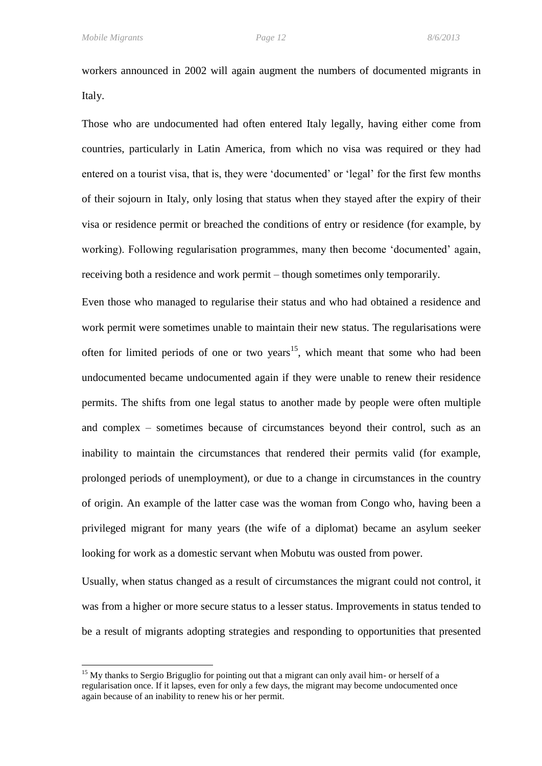$\overline{a}$ 

workers announced in 2002 will again augment the numbers of documented migrants in Italy.

Those who are undocumented had often entered Italy legally, having either come from countries, particularly in Latin America, from which no visa was required or they had entered on a tourist visa, that is, they were 'documented' or 'legal' for the first few months of their sojourn in Italy, only losing that status when they stayed after the expiry of their visa or residence permit or breached the conditions of entry or residence (for example, by working). Following regularisation programmes, many then become 'documented' again, receiving both a residence and work permit – though sometimes only temporarily.

Even those who managed to regularise their status and who had obtained a residence and work permit were sometimes unable to maintain their new status. The regularisations were often for limited periods of one or two years<sup>15</sup>, which meant that some who had been undocumented became undocumented again if they were unable to renew their residence permits. The shifts from one legal status to another made by people were often multiple and complex – sometimes because of circumstances beyond their control, such as an inability to maintain the circumstances that rendered their permits valid (for example, prolonged periods of unemployment), or due to a change in circumstances in the country of origin. An example of the latter case was the woman from Congo who, having been a privileged migrant for many years (the wife of a diplomat) became an asylum seeker looking for work as a domestic servant when Mobutu was ousted from power.

Usually, when status changed as a result of circumstances the migrant could not control, it was from a higher or more secure status to a lesser status. Improvements in status tended to be a result of migrants adopting strategies and responding to opportunities that presented

<sup>&</sup>lt;sup>15</sup> My thanks to Sergio Briguglio for pointing out that a migrant can only avail him- or herself of a regularisation once. If it lapses, even for only a few days, the migrant may become undocumented once again because of an inability to renew his or her permit.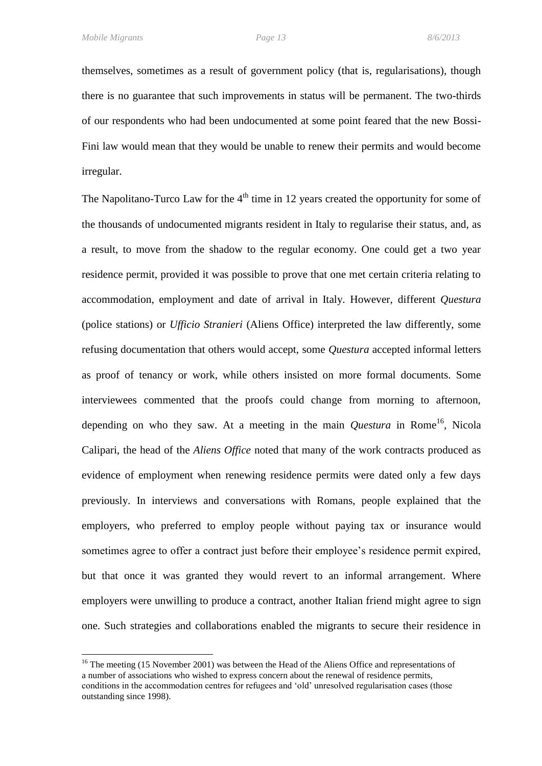$\overline{a}$ 

themselves, sometimes as a result of government policy (that is, regularisations), though there is no guarantee that such improvements in status will be permanent. The two-thirds of our respondents who had been undocumented at some point feared that the new Bossi-Fini law would mean that they would be unable to renew their permits and would become irregular.

The Napolitano-Turco Law for the  $4<sup>th</sup>$  time in 12 years created the opportunity for some of the thousands of undocumented migrants resident in Italy to regularise their status, and, as a result, to move from the shadow to the regular economy. One could get a two year residence permit, provided it was possible to prove that one met certain criteria relating to accommodation, employment and date of arrival in Italy. However, different *Questura* (police stations) or *Ufficio Stranieri* (Aliens Office) interpreted the law differently, some refusing documentation that others would accept, some *Questura* accepted informal letters as proof of tenancy or work, while others insisted on more formal documents. Some interviewees commented that the proofs could change from morning to afternoon, depending on who they saw. At a meeting in the main *Questura* in Rome<sup>16</sup>, Nicola Calipari, the head of the *Aliens Office* noted that many of the work contracts produced as evidence of employment when renewing residence permits were dated only a few days previously. In interviews and conversations with Romans, people explained that the employers, who preferred to employ people without paying tax or insurance would sometimes agree to offer a contract just before their employee's residence permit expired, but that once it was granted they would revert to an informal arrangement. Where employers were unwilling to produce a contract, another Italian friend might agree to sign one. Such strategies and collaborations enabled the migrants to secure their residence in

<sup>&</sup>lt;sup>16</sup> The meeting (15 November 2001) was between the Head of the Aliens Office and representations of a number of associations who wished to express concern about the renewal of residence permits, conditions in the accommodation centres for refugees and 'old' unresolved regularisation cases (those outstanding since 1998).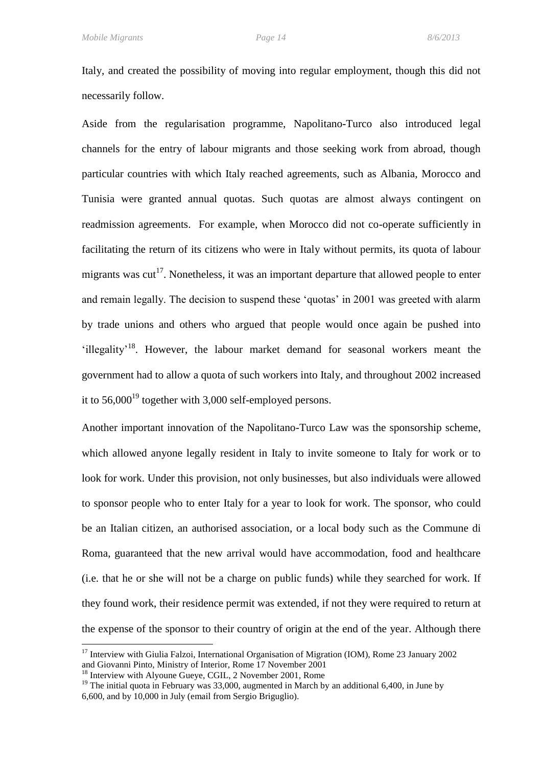Italy, and created the possibility of moving into regular employment, though this did not necessarily follow.

Aside from the regularisation programme, Napolitano-Turco also introduced legal channels for the entry of labour migrants and those seeking work from abroad, though particular countries with which Italy reached agreements, such as Albania, Morocco and Tunisia were granted annual quotas. Such quotas are almost always contingent on readmission agreements. For example, when Morocco did not co-operate sufficiently in facilitating the return of its citizens who were in Italy without permits, its quota of labour migrants was cut<sup>17</sup>. Nonetheless, it was an important departure that allowed people to enter and remain legally. The decision to suspend these 'quotas' in 2001 was greeted with alarm by trade unions and others who argued that people would once again be pushed into 'illegality'<sup>18</sup>. However, the labour market demand for seasonal workers meant the government had to allow a quota of such workers into Italy, and throughout 2002 increased it to 56,000<sup>19</sup> together with 3,000 self-employed persons.

Another important innovation of the Napolitano-Turco Law was the sponsorship scheme, which allowed anyone legally resident in Italy to invite someone to Italy for work or to look for work. Under this provision, not only businesses, but also individuals were allowed to sponsor people who to enter Italy for a year to look for work. The sponsor, who could be an Italian citizen, an authorised association, or a local body such as the Commune di Roma, guaranteed that the new arrival would have accommodation, food and healthcare (i.e. that he or she will not be a charge on public funds) while they searched for work. If they found work, their residence permit was extended, if not they were required to return at the expense of the sponsor to their country of origin at the end of the year. Although there

<sup>&</sup>lt;sup>17</sup> Interview with Giulia Falzoi, International Organisation of Migration (IOM), Rome 23 January 2002 and Giovanni Pinto, Ministry of Interior, Rome 17 November 2001

<sup>&</sup>lt;sup>18</sup> Interview with Alyoune Gueye, CGIL, 2 November 2001, Rome

 $19$  The initial quota in February was 33,000, augmented in March by an additional 6,400, in June by 6,600, and by 10,000 in July (email from Sergio Briguglio).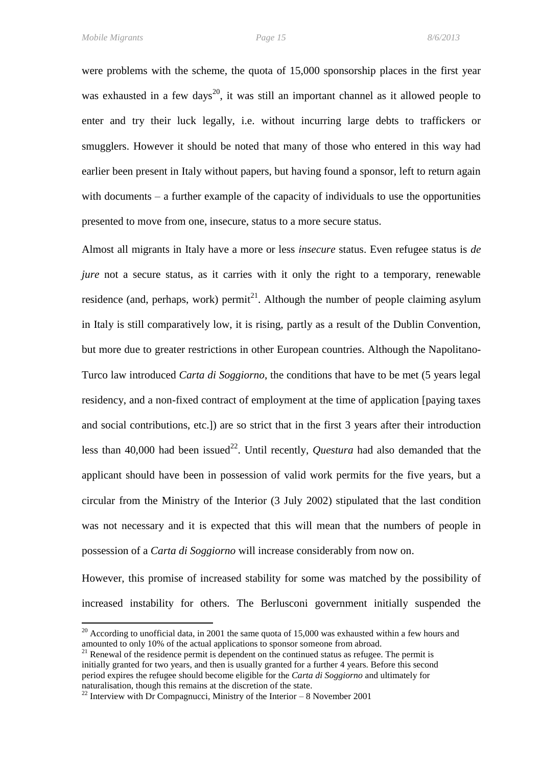$\overline{a}$ 

were problems with the scheme, the quota of 15,000 sponsorship places in the first year was exhausted in a few days<sup>20</sup>, it was still an important channel as it allowed people to enter and try their luck legally, i.e. without incurring large debts to traffickers or smugglers. However it should be noted that many of those who entered in this way had earlier been present in Italy without papers, but having found a sponsor, left to return again with documents – a further example of the capacity of individuals to use the opportunities presented to move from one, insecure, status to a more secure status.

Almost all migrants in Italy have a more or less *insecure* status. Even refugee status is *de jure* not a secure status, as it carries with it only the right to a temporary, renewable residence (and, perhaps, work) permit<sup>21</sup>. Although the number of people claiming asylum in Italy is still comparatively low, it is rising, partly as a result of the Dublin Convention, but more due to greater restrictions in other European countries. Although the Napolitano-Turco law introduced *Carta di Soggiorno*, the conditions that have to be met (5 years legal residency, and a non-fixed contract of employment at the time of application [paying taxes and social contributions, etc.]) are so strict that in the first 3 years after their introduction less than 40,000 had been issued<sup>22</sup>. Until recently, *Questura* had also demanded that the applicant should have been in possession of valid work permits for the five years, but a circular from the Ministry of the Interior (3 July 2002) stipulated that the last condition was not necessary and it is expected that this will mean that the numbers of people in possession of a *Carta di Soggiorno* will increase considerably from now on.

However, this promise of increased stability for some was matched by the possibility of increased instability for others. The Berlusconi government initially suspended the

<sup>&</sup>lt;sup>20</sup> According to unofficial data, in 2001 the same quota of 15,000 was exhausted within a few hours and amounted to only 10% of the actual applications to sponsor someone from abroad.

 $21$  Renewal of the residence permit is dependent on the continued status as refugee. The permit is initially granted for two years, and then is usually granted for a further 4 years. Before this second period expires the refugee should become eligible for the *Carta di Soggiorno* and ultimately for naturalisation, though this remains at the discretion of the state*.*

<sup>&</sup>lt;sup>22</sup> Interview with Dr Compagnucci, Ministry of the Interior – 8 November 2001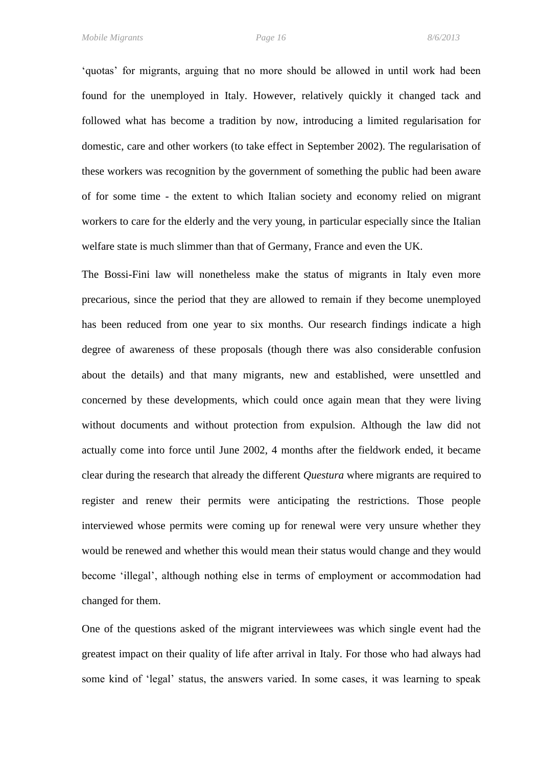*Mobile Migrants Page 16 8/6/2013*

'quotas' for migrants, arguing that no more should be allowed in until work had been found for the unemployed in Italy. However, relatively quickly it changed tack and followed what has become a tradition by now, introducing a limited regularisation for domestic, care and other workers (to take effect in September 2002). The regularisation of these workers was recognition by the government of something the public had been aware of for some time - the extent to which Italian society and economy relied on migrant workers to care for the elderly and the very young, in particular especially since the Italian welfare state is much slimmer than that of Germany, France and even the UK.

The Bossi-Fini law will nonetheless make the status of migrants in Italy even more precarious, since the period that they are allowed to remain if they become unemployed has been reduced from one year to six months. Our research findings indicate a high degree of awareness of these proposals (though there was also considerable confusion about the details) and that many migrants, new and established, were unsettled and concerned by these developments, which could once again mean that they were living without documents and without protection from expulsion. Although the law did not actually come into force until June 2002, 4 months after the fieldwork ended, it became clear during the research that already the different *Questura* where migrants are required to register and renew their permits were anticipating the restrictions. Those people interviewed whose permits were coming up for renewal were very unsure whether they would be renewed and whether this would mean their status would change and they would become 'illegal', although nothing else in terms of employment or accommodation had changed for them.

One of the questions asked of the migrant interviewees was which single event had the greatest impact on their quality of life after arrival in Italy. For those who had always had some kind of 'legal' status, the answers varied. In some cases, it was learning to speak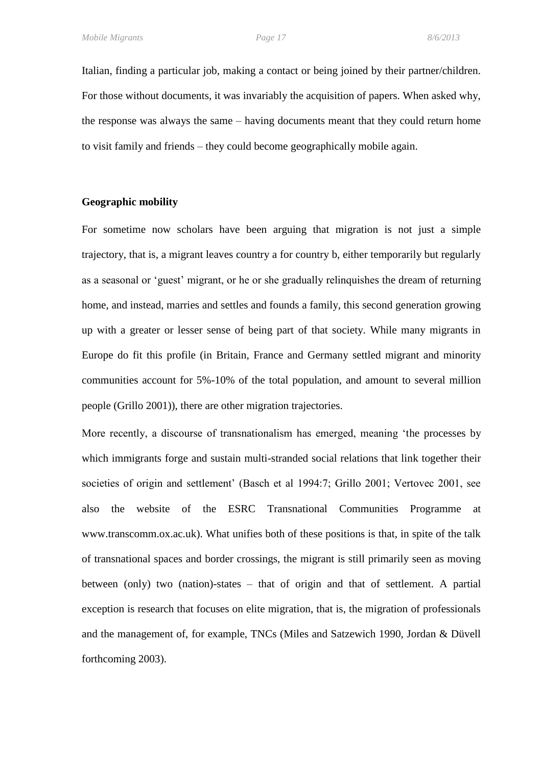Italian, finding a particular job, making a contact or being joined by their partner/children. For those without documents, it was invariably the acquisition of papers. When asked why, the response was always the same – having documents meant that they could return home to visit family and friends – they could become geographically mobile again.

#### **Geographic mobility**

For sometime now scholars have been arguing that migration is not just a simple trajectory, that is, a migrant leaves country a for country b, either temporarily but regularly as a seasonal or 'guest' migrant, or he or she gradually relinquishes the dream of returning home, and instead, marries and settles and founds a family, this second generation growing up with a greater or lesser sense of being part of that society. While many migrants in Europe do fit this profile (in Britain, France and Germany settled migrant and minority communities account for 5%-10% of the total population, and amount to several million people (Grillo 2001)), there are other migration trajectories.

More recently, a discourse of transnationalism has emerged, meaning 'the processes by which immigrants forge and sustain multi-stranded social relations that link together their societies of origin and settlement' (Basch et al 1994:7; Grillo 2001; Vertovec 2001, see also the website of the ESRC Transnational Communities Programme at www.transcomm.ox.ac.uk). What unifies both of these positions is that, in spite of the talk of transnational spaces and border crossings, the migrant is still primarily seen as moving between (only) two (nation)-states – that of origin and that of settlement. A partial exception is research that focuses on elite migration, that is, the migration of professionals and the management of, for example, TNCs (Miles and Satzewich 1990, Jordan & Düvell forthcoming 2003).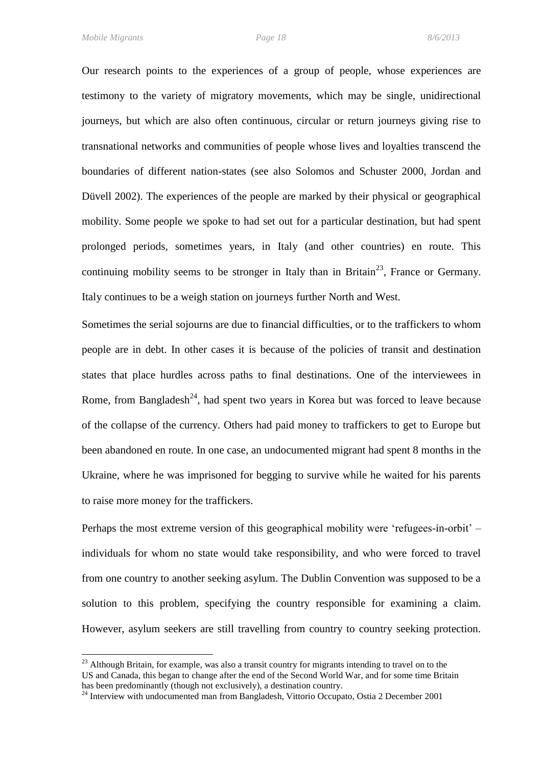*Mobile Migrants Page 18 8/6/2013*

 $\overline{a}$ 

Our research points to the experiences of a group of people, whose experiences are testimony to the variety of migratory movements, which may be single, unidirectional journeys, but which are also often continuous, circular or return journeys giving rise to transnational networks and communities of people whose lives and loyalties transcend the boundaries of different nation-states (see also Solomos and Schuster 2000, Jordan and Düvell 2002). The experiences of the people are marked by their physical or geographical mobility. Some people we spoke to had set out for a particular destination, but had spent prolonged periods, sometimes years, in Italy (and other countries) en route. This continuing mobility seems to be stronger in Italy than in Britain<sup>23</sup>, France or Germany. Italy continues to be a weigh station on journeys further North and West.

Sometimes the serial sojourns are due to financial difficulties, or to the traffickers to whom people are in debt. In other cases it is because of the policies of transit and destination states that place hurdles across paths to final destinations. One of the interviewees in Rome, from Bangladesh<sup>24</sup>, had spent two years in Korea but was forced to leave because of the collapse of the currency. Others had paid money to traffickers to get to Europe but been abandoned en route. In one case, an undocumented migrant had spent 8 months in the Ukraine, where he was imprisoned for begging to survive while he waited for his parents to raise more money for the traffickers.

Perhaps the most extreme version of this geographical mobility were 'refugees-in-orbit' – individuals for whom no state would take responsibility, and who were forced to travel from one country to another seeking asylum. The Dublin Convention was supposed to be a solution to this problem, specifying the country responsible for examining a claim. However, asylum seekers are still travelling from country to country seeking protection.

<sup>&</sup>lt;sup>23</sup> Although Britain, for example, was also a transit country for migrants intending to travel on to the US and Canada, this began to change after the end of the Second World War, and for some time Britain has been predominantly (though not exclusively), a destination country.

<sup>&</sup>lt;sup>24</sup> Interview with undocumented man from Bangladesh, Vittorio Occupato, Ostia 2 December 2001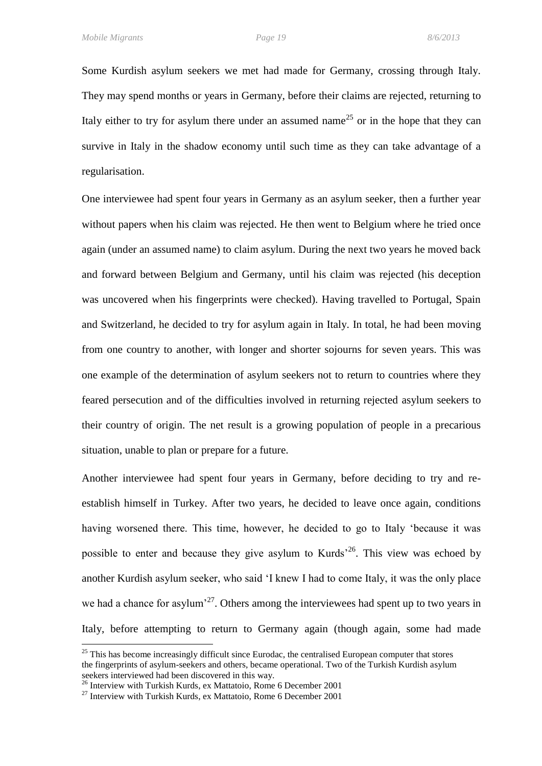*Mobile Migrants Page 19 8/6/2013*

Some Kurdish asylum seekers we met had made for Germany, crossing through Italy. They may spend months or years in Germany, before their claims are rejected, returning to Italy either to try for asylum there under an assumed name<sup>25</sup> or in the hope that they can survive in Italy in the shadow economy until such time as they can take advantage of a regularisation.

One interviewee had spent four years in Germany as an asylum seeker, then a further year without papers when his claim was rejected. He then went to Belgium where he tried once again (under an assumed name) to claim asylum. During the next two years he moved back and forward between Belgium and Germany, until his claim was rejected (his deception was uncovered when his fingerprints were checked). Having travelled to Portugal, Spain and Switzerland, he decided to try for asylum again in Italy. In total, he had been moving from one country to another, with longer and shorter sojourns for seven years. This was one example of the determination of asylum seekers not to return to countries where they feared persecution and of the difficulties involved in returning rejected asylum seekers to their country of origin. The net result is a growing population of people in a precarious situation, unable to plan or prepare for a future.

Another interviewee had spent four years in Germany, before deciding to try and reestablish himself in Turkey. After two years, he decided to leave once again, conditions having worsened there. This time, however, he decided to go to Italy 'because it was possible to enter and because they give asylum to Kurds<sup> $26$ </sup>. This view was echoed by another Kurdish asylum seeker, who said 'I knew I had to come Italy, it was the only place we had a chance for asylum<sup>27</sup>. Others among the interviewees had spent up to two years in Italy, before attempting to return to Germany again (though again, some had made

 $25$  This has become increasingly difficult since Eurodac, the centralised European computer that stores the fingerprints of asylum-seekers and others, became operational. Two of the Turkish Kurdish asylum seekers interviewed had been discovered in this way.

<sup>&</sup>lt;sup>26</sup> Interview with Turkish Kurds, ex Mattatoio, Rome 6 December 2001

 $27$  Interview with Turkish Kurds, ex Mattatoio, Rome 6 December 2001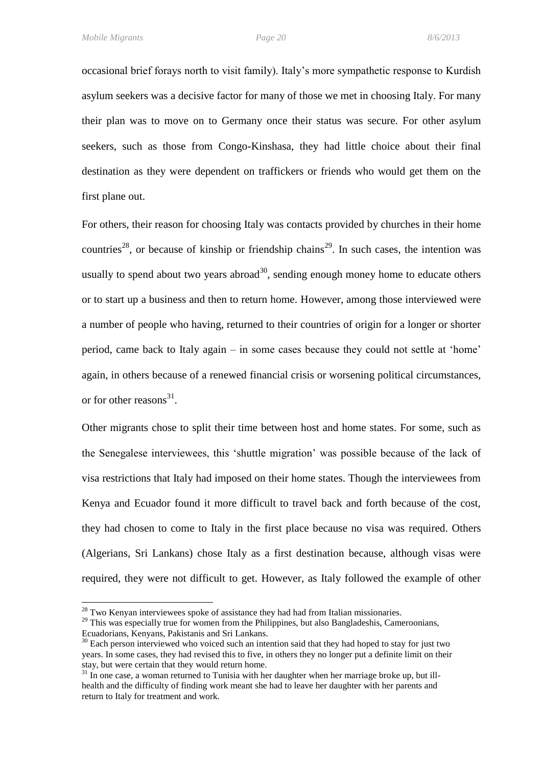*Mobile Migrants Page 20 8/6/2013*

 $\overline{a}$ 

occasional brief forays north to visit family). Italy's more sympathetic response to Kurdish asylum seekers was a decisive factor for many of those we met in choosing Italy. For many their plan was to move on to Germany once their status was secure. For other asylum seekers, such as those from Congo-Kinshasa, they had little choice about their final destination as they were dependent on traffickers or friends who would get them on the first plane out.

For others, their reason for choosing Italy was contacts provided by churches in their home countries<sup>28</sup>, or because of kinship or friendship chains<sup>29</sup>. In such cases, the intention was usually to spend about two years abroad<sup>30</sup>, sending enough money home to educate others or to start up a business and then to return home. However, among those interviewed were a number of people who having, returned to their countries of origin for a longer or shorter period, came back to Italy again – in some cases because they could not settle at 'home' again, in others because of a renewed financial crisis or worsening political circumstances, or for other reasons $31$ .

Other migrants chose to split their time between host and home states. For some, such as the Senegalese interviewees, this 'shuttle migration' was possible because of the lack of visa restrictions that Italy had imposed on their home states. Though the interviewees from Kenya and Ecuador found it more difficult to travel back and forth because of the cost, they had chosen to come to Italy in the first place because no visa was required. Others (Algerians, Sri Lankans) chose Italy as a first destination because, although visas were required, they were not difficult to get. However, as Italy followed the example of other

 $28$  Two Kenyan interviewees spoke of assistance they had had from Italian missionaries.

<sup>&</sup>lt;sup>29</sup> This was especially true for women from the Philippines, but also Bangladeshis, Cameroonians, Ecuadorians, Kenyans, Pakistanis and Sri Lankans.

<sup>&</sup>lt;sup>30</sup> Each person interviewed who voiced such an intention said that they had hoped to stay for just two years. In some cases, they had revised this to five, in others they no longer put a definite limit on their stay, but were certain that they would return home.

 $31$  In one case, a woman returned to Tunisia with her daughter when her marriage broke up, but illhealth and the difficulty of finding work meant she had to leave her daughter with her parents and return to Italy for treatment and work.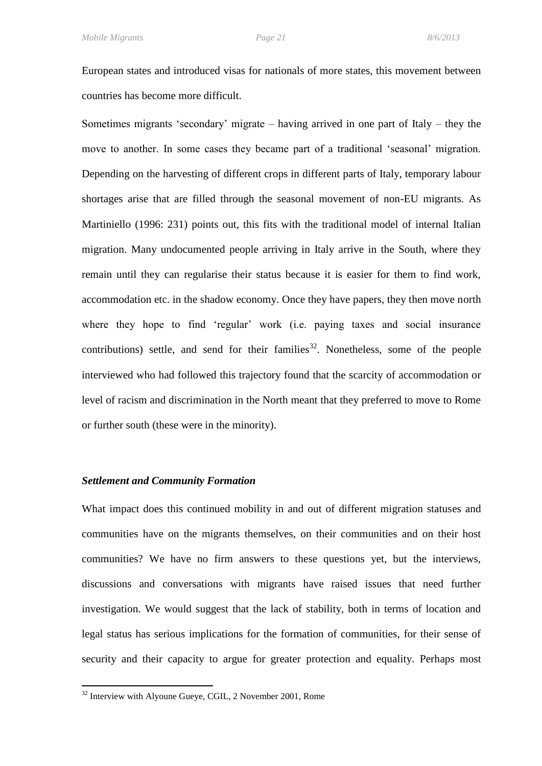*Mobile Migrants Page 21 8/6/2013*

European states and introduced visas for nationals of more states, this movement between countries has become more difficult.

Sometimes migrants 'secondary' migrate – having arrived in one part of Italy – they the move to another. In some cases they became part of a traditional 'seasonal' migration. Depending on the harvesting of different crops in different parts of Italy, temporary labour shortages arise that are filled through the seasonal movement of non-EU migrants. As Martiniello (1996: 231) points out, this fits with the traditional model of internal Italian migration. Many undocumented people arriving in Italy arrive in the South, where they remain until they can regularise their status because it is easier for them to find work, accommodation etc. in the shadow economy. Once they have papers, they then move north where they hope to find 'regular' work (i.e. paying taxes and social insurance contributions) settle, and send for their families<sup>32</sup>. Nonetheless, some of the people interviewed who had followed this trajectory found that the scarcity of accommodation or level of racism and discrimination in the North meant that they preferred to move to Rome or further south (these were in the minority).

#### *Settlement and Community Formation*

What impact does this continued mobility in and out of different migration statuses and communities have on the migrants themselves, on their communities and on their host communities? We have no firm answers to these questions yet, but the interviews, discussions and conversations with migrants have raised issues that need further investigation. We would suggest that the lack of stability, both in terms of location and legal status has serious implications for the formation of communities, for their sense of security and their capacity to argue for greater protection and equality. Perhaps most

 $\overline{a}$ 

 $32$  Interview with Alyoune Gueye, CGIL, 2 November 2001, Rome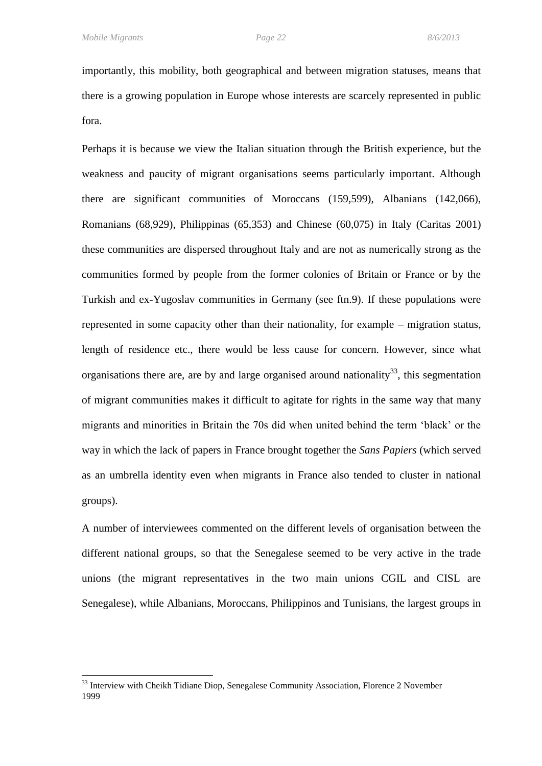$\overline{a}$ 

importantly, this mobility, both geographical and between migration statuses, means that there is a growing population in Europe whose interests are scarcely represented in public fora.

Perhaps it is because we view the Italian situation through the British experience, but the weakness and paucity of migrant organisations seems particularly important. Although there are significant communities of Moroccans (159,599), Albanians (142,066), Romanians (68,929), Philippinas (65,353) and Chinese (60,075) in Italy (Caritas 2001) these communities are dispersed throughout Italy and are not as numerically strong as the communities formed by people from the former colonies of Britain or France or by the Turkish and ex-Yugoslav communities in Germany (see ftn.9). If these populations were represented in some capacity other than their nationality, for example – migration status, length of residence etc., there would be less cause for concern. However, since what organisations there are, are by and large organised around nationality<sup>33</sup>, this segmentation of migrant communities makes it difficult to agitate for rights in the same way that many migrants and minorities in Britain the 70s did when united behind the term 'black' or the way in which the lack of papers in France brought together the *Sans Papiers* (which served as an umbrella identity even when migrants in France also tended to cluster in national groups).

A number of interviewees commented on the different levels of organisation between the different national groups, so that the Senegalese seemed to be very active in the trade unions (the migrant representatives in the two main unions CGIL and CISL are Senegalese), while Albanians, Moroccans, Philippinos and Tunisians, the largest groups in

<sup>&</sup>lt;sup>33</sup> Interview with Cheikh Tidiane Diop, Senegalese Community Association, Florence 2 November 1999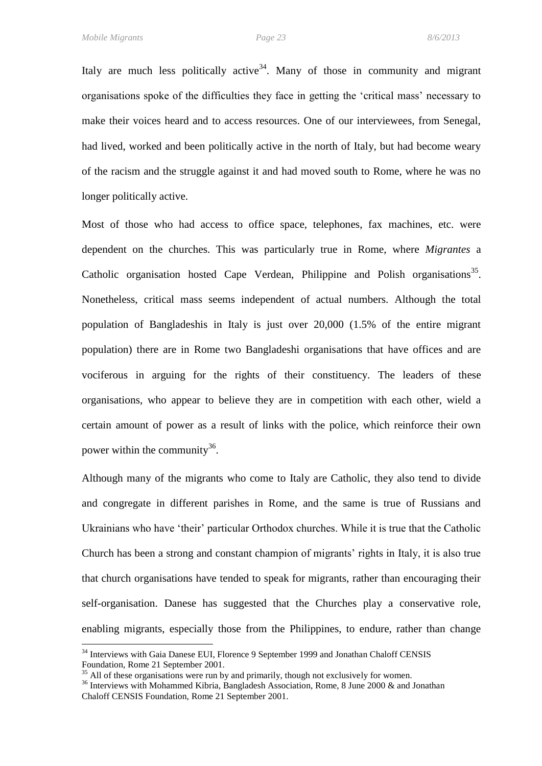Italy are much less politically active<sup>34</sup>. Many of those in community and migrant organisations spoke of the difficulties they face in getting the 'critical mass' necessary to make their voices heard and to access resources. One of our interviewees, from Senegal, had lived, worked and been politically active in the north of Italy, but had become weary of the racism and the struggle against it and had moved south to Rome, where he was no longer politically active.

Most of those who had access to office space, telephones, fax machines, etc. were dependent on the churches. This was particularly true in Rome, where *Migrantes* a Catholic organisation hosted Cape Verdean, Philippine and Polish organisations<sup>35</sup>. Nonetheless, critical mass seems independent of actual numbers. Although the total population of Bangladeshis in Italy is just over 20,000 (1.5% of the entire migrant population) there are in Rome two Bangladeshi organisations that have offices and are vociferous in arguing for the rights of their constituency. The leaders of these organisations, who appear to believe they are in competition with each other, wield a certain amount of power as a result of links with the police, which reinforce their own power within the community  $36$ .

Although many of the migrants who come to Italy are Catholic, they also tend to divide and congregate in different parishes in Rome, and the same is true of Russians and Ukrainians who have 'their' particular Orthodox churches. While it is true that the Catholic Church has been a strong and constant champion of migrants' rights in Italy, it is also true that church organisations have tended to speak for migrants, rather than encouraging their self-organisation. Danese has suggested that the Churches play a conservative role, enabling migrants, especially those from the Philippines, to endure, rather than change

<sup>&</sup>lt;sup>34</sup> Interviews with Gaia Danese EUI, Florence 9 September 1999 and Jonathan Chaloff CENSIS Foundation, Rome 21 September 2001.

<sup>&</sup>lt;sup>35</sup> All of these organisations were run by and primarily, though not exclusively for women.

<sup>&</sup>lt;sup>36</sup> Interviews with Mohammed Kibria, Bangladesh Association, Rome, 8 June 2000 & and Jonathan Chaloff CENSIS Foundation, Rome 21 September 2001.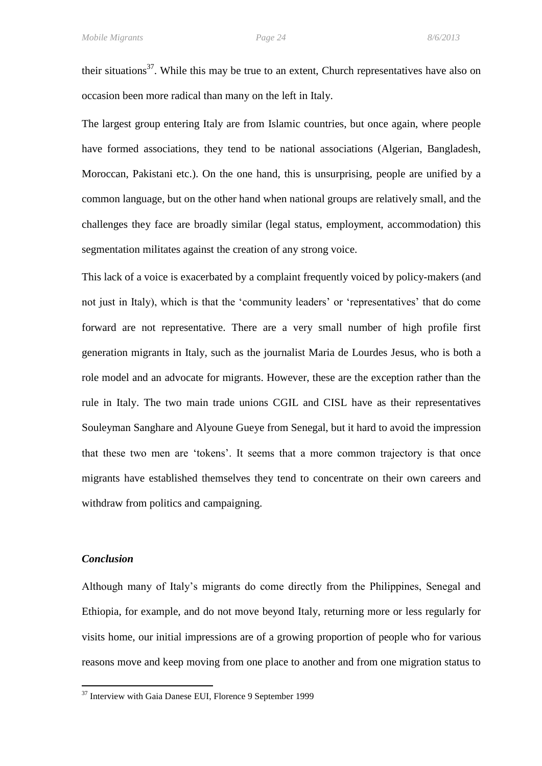their situations<sup>37</sup>. While this may be true to an extent, Church representatives have also on occasion been more radical than many on the left in Italy.

The largest group entering Italy are from Islamic countries, but once again, where people have formed associations, they tend to be national associations (Algerian, Bangladesh, Moroccan, Pakistani etc.). On the one hand, this is unsurprising, people are unified by a common language, but on the other hand when national groups are relatively small, and the challenges they face are broadly similar (legal status, employment, accommodation) this segmentation militates against the creation of any strong voice.

This lack of a voice is exacerbated by a complaint frequently voiced by policy-makers (and not just in Italy), which is that the 'community leaders' or 'representatives' that do come forward are not representative. There are a very small number of high profile first generation migrants in Italy, such as the journalist Maria de Lourdes Jesus, who is both a role model and an advocate for migrants. However, these are the exception rather than the rule in Italy. The two main trade unions CGIL and CISL have as their representatives Souleyman Sanghare and Alyoune Gueye from Senegal, but it hard to avoid the impression that these two men are 'tokens'. It seems that a more common trajectory is that once migrants have established themselves they tend to concentrate on their own careers and withdraw from politics and campaigning.

#### *Conclusion*

 $\overline{a}$ 

Although many of Italy's migrants do come directly from the Philippines, Senegal and Ethiopia, for example, and do not move beyond Italy, returning more or less regularly for visits home, our initial impressions are of a growing proportion of people who for various reasons move and keep moving from one place to another and from one migration status to

<sup>&</sup>lt;sup>37</sup> Interview with Gaia Danese EUI, Florence 9 September 1999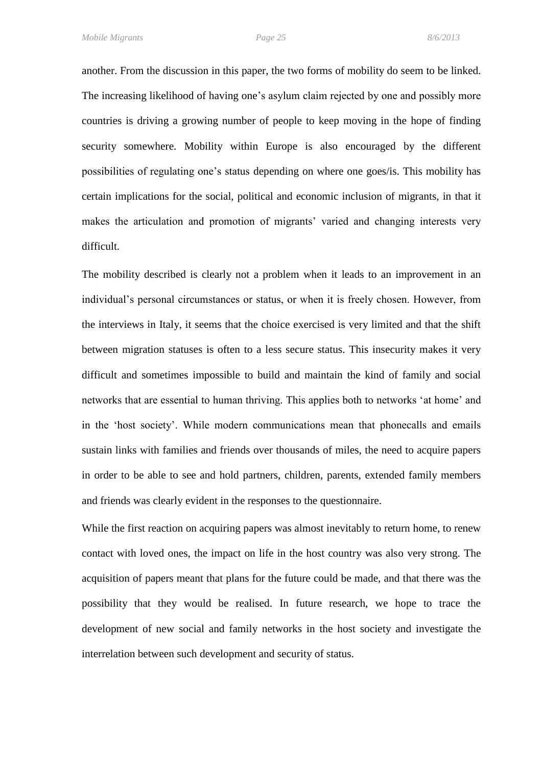*Mobile Migrants Page 25 8/6/2013*

another. From the discussion in this paper, the two forms of mobility do seem to be linked. The increasing likelihood of having one's asylum claim rejected by one and possibly more countries is driving a growing number of people to keep moving in the hope of finding security somewhere. Mobility within Europe is also encouraged by the different possibilities of regulating one's status depending on where one goes/is. This mobility has certain implications for the social, political and economic inclusion of migrants, in that it makes the articulation and promotion of migrants' varied and changing interests very difficult.

The mobility described is clearly not a problem when it leads to an improvement in an individual's personal circumstances or status, or when it is freely chosen. However, from the interviews in Italy, it seems that the choice exercised is very limited and that the shift between migration statuses is often to a less secure status. This insecurity makes it very difficult and sometimes impossible to build and maintain the kind of family and social networks that are essential to human thriving. This applies both to networks 'at home' and in the 'host society'. While modern communications mean that phonecalls and emails sustain links with families and friends over thousands of miles, the need to acquire papers in order to be able to see and hold partners, children, parents, extended family members and friends was clearly evident in the responses to the questionnaire.

While the first reaction on acquiring papers was almost inevitably to return home, to renew contact with loved ones, the impact on life in the host country was also very strong. The acquisition of papers meant that plans for the future could be made, and that there was the possibility that they would be realised. In future research, we hope to trace the development of new social and family networks in the host society and investigate the interrelation between such development and security of status.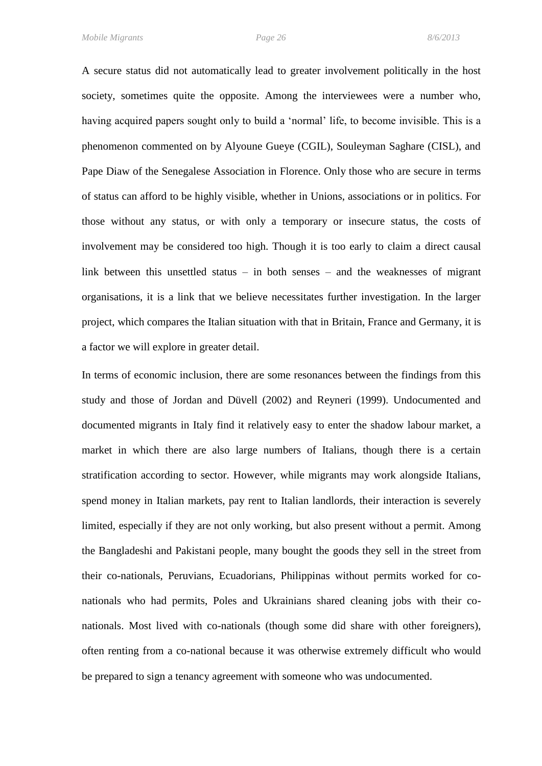*Mobile Migrants Page 26 8/6/2013*

A secure status did not automatically lead to greater involvement politically in the host society, sometimes quite the opposite. Among the interviewees were a number who, having acquired papers sought only to build a 'normal' life, to become invisible. This is a phenomenon commented on by Alyoune Gueye (CGIL), Souleyman Saghare (CISL), and Pape Diaw of the Senegalese Association in Florence. Only those who are secure in terms of status can afford to be highly visible, whether in Unions, associations or in politics. For those without any status, or with only a temporary or insecure status, the costs of involvement may be considered too high. Though it is too early to claim a direct causal link between this unsettled status – in both senses – and the weaknesses of migrant organisations, it is a link that we believe necessitates further investigation. In the larger project, which compares the Italian situation with that in Britain, France and Germany, it is a factor we will explore in greater detail.

In terms of economic inclusion, there are some resonances between the findings from this study and those of Jordan and Düvell (2002) and Reyneri (1999). Undocumented and documented migrants in Italy find it relatively easy to enter the shadow labour market, a market in which there are also large numbers of Italians, though there is a certain stratification according to sector. However, while migrants may work alongside Italians, spend money in Italian markets, pay rent to Italian landlords, their interaction is severely limited, especially if they are not only working, but also present without a permit. Among the Bangladeshi and Pakistani people, many bought the goods they sell in the street from their co-nationals, Peruvians, Ecuadorians, Philippinas without permits worked for conationals who had permits, Poles and Ukrainians shared cleaning jobs with their conationals. Most lived with co-nationals (though some did share with other foreigners), often renting from a co-national because it was otherwise extremely difficult who would be prepared to sign a tenancy agreement with someone who was undocumented.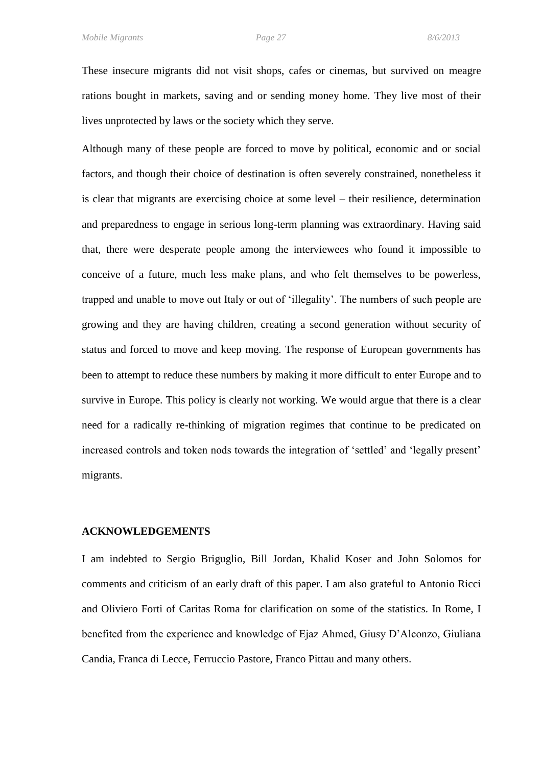These insecure migrants did not visit shops, cafes or cinemas, but survived on meagre rations bought in markets, saving and or sending money home. They live most of their lives unprotected by laws or the society which they serve.

Although many of these people are forced to move by political, economic and or social factors, and though their choice of destination is often severely constrained, nonetheless it is clear that migrants are exercising choice at some level – their resilience, determination and preparedness to engage in serious long-term planning was extraordinary. Having said that, there were desperate people among the interviewees who found it impossible to conceive of a future, much less make plans, and who felt themselves to be powerless, trapped and unable to move out Italy or out of 'illegality'. The numbers of such people are growing and they are having children, creating a second generation without security of status and forced to move and keep moving. The response of European governments has been to attempt to reduce these numbers by making it more difficult to enter Europe and to survive in Europe. This policy is clearly not working. We would argue that there is a clear need for a radically re-thinking of migration regimes that continue to be predicated on increased controls and token nods towards the integration of 'settled' and 'legally present' migrants.

#### **ACKNOWLEDGEMENTS**

I am indebted to Sergio Briguglio, Bill Jordan, Khalid Koser and John Solomos for comments and criticism of an early draft of this paper. I am also grateful to Antonio Ricci and Oliviero Forti of Caritas Roma for clarification on some of the statistics. In Rome, I benefited from the experience and knowledge of Ejaz Ahmed, Giusy D'Alconzo, Giuliana Candia, Franca di Lecce, Ferruccio Pastore, Franco Pittau and many others.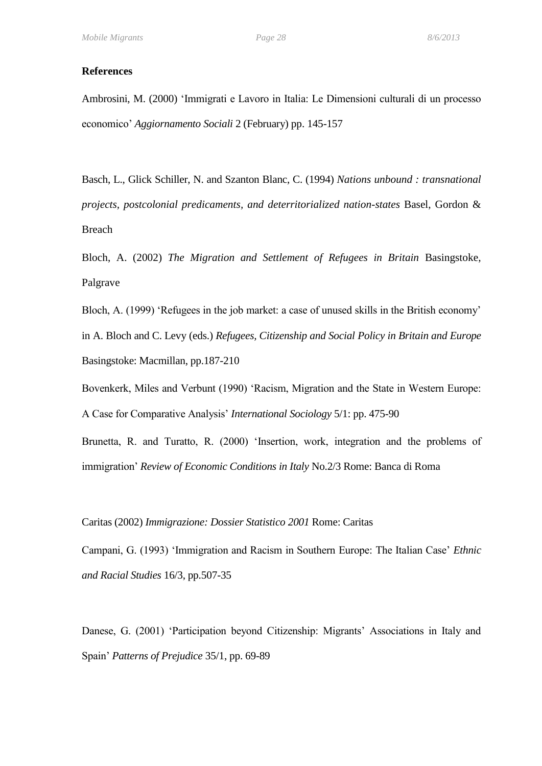#### **References**

Ambrosini, M. (2000) 'Immigrati e Lavoro in Italia: Le Dimensioni culturali di un processo economico' *Aggiornamento Sociali* 2 (February) pp. 145-157

Basch, L., Glick Schiller, N. and Szanton Blanc, C. (1994) *Nations unbound : transnational projects, postcolonial predicaments, and deterritorialized nation-states* Basel, Gordon & Breach

Bloch, A. (2002) *The Migration and Settlement of Refugees in Britain* Basingstoke, Palgrave

Bloch, A. (1999) 'Refugees in the job market: a case of unused skills in the British economy' in A. Bloch and C. Levy (eds.) *Refugees, Citizenship and Social Policy in Britain and Europe* Basingstoke: Macmillan, pp.187-210

Bovenkerk, Miles and Verbunt (1990) 'Racism, Migration and the State in Western Europe: A Case for Comparative Analysis' *International Sociology* 5/1: pp. 475-90

Brunetta, R. and Turatto, R. (2000) 'Insertion, work, integration and the problems of immigration' *Review of Economic Conditions in Italy* No.2/3 Rome: Banca di Roma

#### Caritas (2002) *Immigrazione: Dossier Statistico 2001* Rome: Caritas

Campani, G. (1993) 'Immigration and Racism in Southern Europe: The Italian Case' *Ethnic and Racial Studies* 16/3, pp.507-35

Danese, G. (2001) 'Participation beyond Citizenship: Migrants' Associations in Italy and Spain' *Patterns of Prejudice* 35/1, pp. 69-89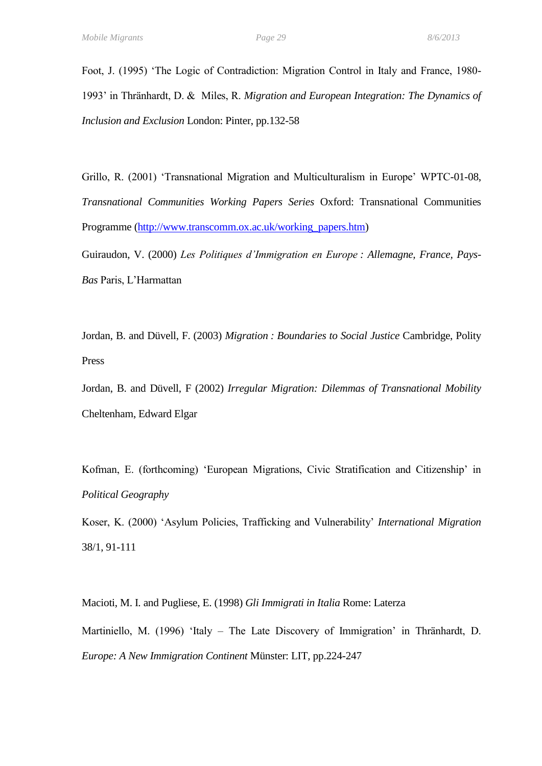Foot, J. (1995) 'The Logic of Contradiction: Migration Control in Italy and France, 1980- 1993' in Thränhardt, D. & Miles, R. *Migration and European Integration: The Dynamics of Inclusion and Exclusion* London: Pinter, pp.132-58

Grillo, R. (2001) 'Transnational Migration and Multiculturalism in Europe' WPTC-01-08, *Transnational Communities Working Papers Series* Oxford: Transnational Communities Programme [\(http://www.transcomm.ox.ac.uk/working\\_papers.htm\)](http://www.transcomm.ox.ac.uk/working_papers.htm)

Guiraudon, V. (2000) *Les Politiques d'Immigration en Europe : Allemagne, France, Pays-Bas* Paris, L'Harmattan

Jordan, B. and Düvell, F. (2003) *Migration : Boundaries to Social Justice* Cambridge, Polity Press

Jordan, B. and Düvell, F (2002) *Irregular Migration: Dilemmas of Transnational Mobility* Cheltenham, Edward Elgar

Kofman, E. (forthcoming) 'European Migrations, Civic Stratification and Citizenship' in *Political Geography*

Koser, K. (2000) 'Asylum Policies, Trafficking and Vulnerability' *International Migration* 38/1, 91-111

Macioti, M. I. and Pugliese, E. (1998) *Gli Immigrati in Italia* Rome: Laterza

Martiniello, M. (1996) 'Italy – The Late Discovery of Immigration' in Thränhardt, D. *Europe: A New Immigration Continent* Münster: LIT, pp.224-247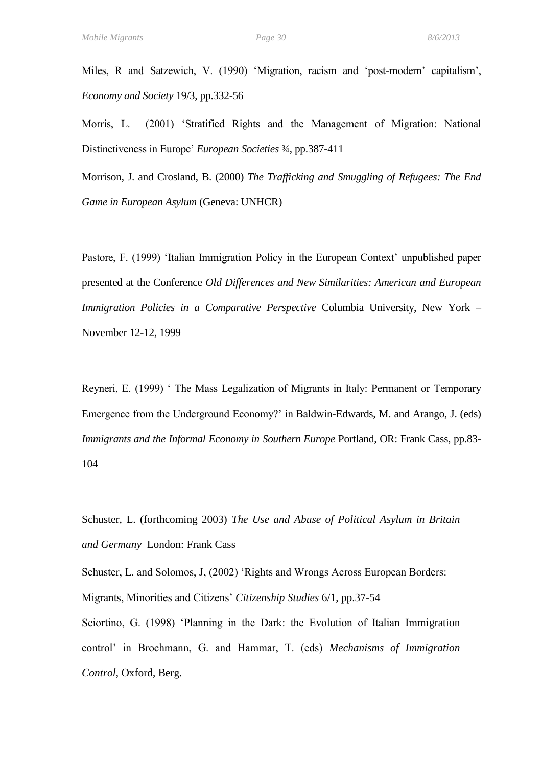Miles, R and Satzewich, V. (1990) 'Migration, racism and 'post-modern' capitalism', *Economy and Society* 19/3, pp.332-56

Morris, L. (2001) 'Stratified Rights and the Management of Migration: National Distinctiveness in Europe' *European Societies* ¾, pp.387-411

Morrison, J. and Crosland, B. (2000) *The Trafficking and Smuggling of Refugees: The End Game in European Asylum* (Geneva: UNHCR)

Pastore, F. (1999) 'Italian Immigration Policy in the European Context' unpublished paper presented at the Conference *Old Differences and New Similarities: American and European Immigration Policies in a Comparative Perspective* Columbia University, New York – November 12-12, 1999

Reyneri, E. (1999) ' The Mass Legalization of Migrants in Italy: Permanent or Temporary Emergence from the Underground Economy?' in Baldwin-Edwards, M. and Arango, J. (eds) *Immigrants and the Informal Economy in Southern Europe* Portland, OR: Frank Cass, pp.83- 104

Schuster, L. (forthcoming 2003) *The Use and Abuse of Political Asylum in Britain and Germany* London: Frank Cass

Schuster, L. and Solomos, J, (2002) 'Rights and Wrongs Across European Borders: Migrants, Minorities and Citizens' *Citizenship Studies* 6/1, pp.37-54

Sciortino, G. (1998) 'Planning in the Dark: the Evolution of Italian Immigration control' in Brochmann, G. and Hammar, T. (eds) *Mechanisms of Immigration Control*, Oxford, Berg.